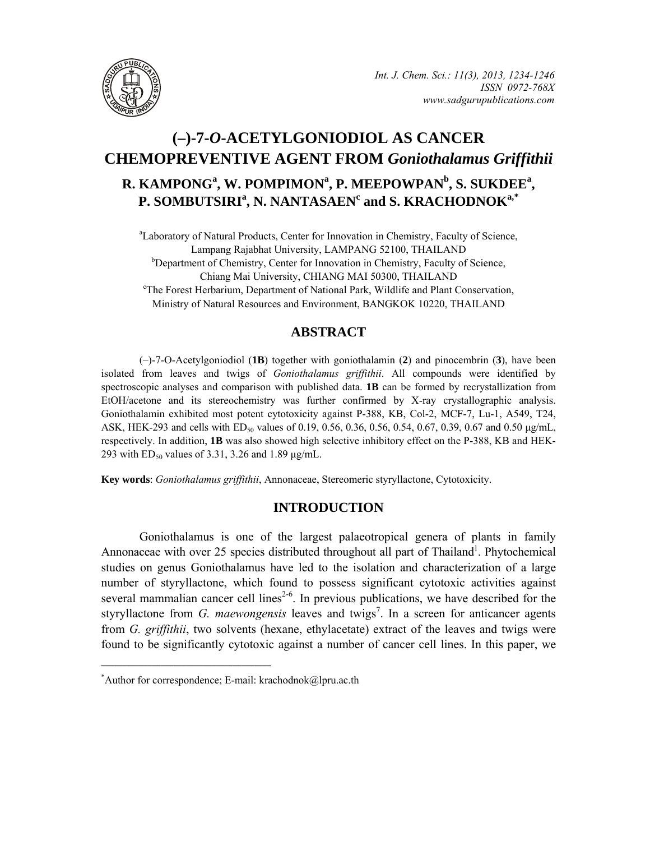

# **(–)-7-***O***-ACETYLGONIODIOL AS CANCER CHEMOPREVENTIVE AGENT FROM** *Goniothalamus Griffithii* **R. KAMPONG<sup>a</sup>, W. POMPIMON<sup>a</sup>, P. MEEPOWPAN<sup>b</sup>, S. SUKDEE<sup>a</sup>,**  $P$ . SOMBUTSIRI<sup>a</sup>, N. NANTASAEN<sup>c</sup> and S. KRACHODNOK<sup>a,\*</sup>

<sup>a</sup>Laboratory of Natural Products, Center for Innovation in Chemistry, Faculty of Science, Lampang Rajabhat University, LAMPANG 52100, THAILAND <sup>b</sup>Department of Chemistry, Center for Innovation in Chemistry, Faculty of Science, Chiang Mai University, CHIANG MAI 50300, THAILAND The Forest Herbarium, Department of National Park, Wildlife and Plant Conservation, Ministry of Natural Resources and Environment, BANGKOK 10220, THAILAND

# **ABSTRACT**

(–)-7-O-Acetylgoniodiol (**1B**) together with goniothalamin (**2**) and pinocembrin (**3**), have been isolated from leaves and twigs of *Goniothalamus griffithii*. All compounds were identified by spectroscopic analyses and comparison with published data. **1B** can be formed by recrystallization from EtOH/acetone and its stereochemistry was further confirmed by X-ray crystallographic analysis. Goniothalamin exhibited most potent cytotoxicity against P-388, KB, Col-2, MCF-7, Lu-1, A549, T24, ASK, HEK-293 and cells with ED<sub>50</sub> values of 0.19, 0.56, 0.36, 0.56, 0.54, 0.67, 0.39, 0.67 and 0.50  $\mu\text{g/mL}$ , respectively. In addition, **1B** was also showed high selective inhibitory effect on the P-388, KB and HEK-293 with  $ED_{50}$  values of 3.31, 3.26 and 1.89  $\mu$ g/mL.

**Key words**: *Goniothalamus griffithii*, Annonaceae, Stereomeric styryllactone, Cytotoxicity.

# **INTRODUCTION**

Goniothalamus is one of the largest palaeotropical genera of plants in family Annonaceae with over 25 species distributed throughout all part of Thailand<sup>1</sup>. Phytochemical studies on genus Goniothalamus have led to the isolation and characterization of a large number of styryllactone, which found to possess significant cytotoxic activities against several mammalian cancer cell lines<sup>2-6</sup>. In previous publications, we have described for the styryllactone from *G. maewongensis* leaves and twigs<sup>7</sup>. In a screen for anticancer agents from *G. griffithii*, two solvents (hexane, ethylacetate) extract of the leaves and twigs were found to be significantly cytotoxic against a number of cancer cell lines. In this paper, we

**\_\_\_\_\_\_\_\_\_\_\_\_\_\_\_\_\_\_\_\_\_\_\_\_\_\_\_\_\_\_\_\_\_\_\_\_\_\_\_\_**

<sup>\*</sup> Author for correspondence; E-mail: krachodnok@lpru.ac.th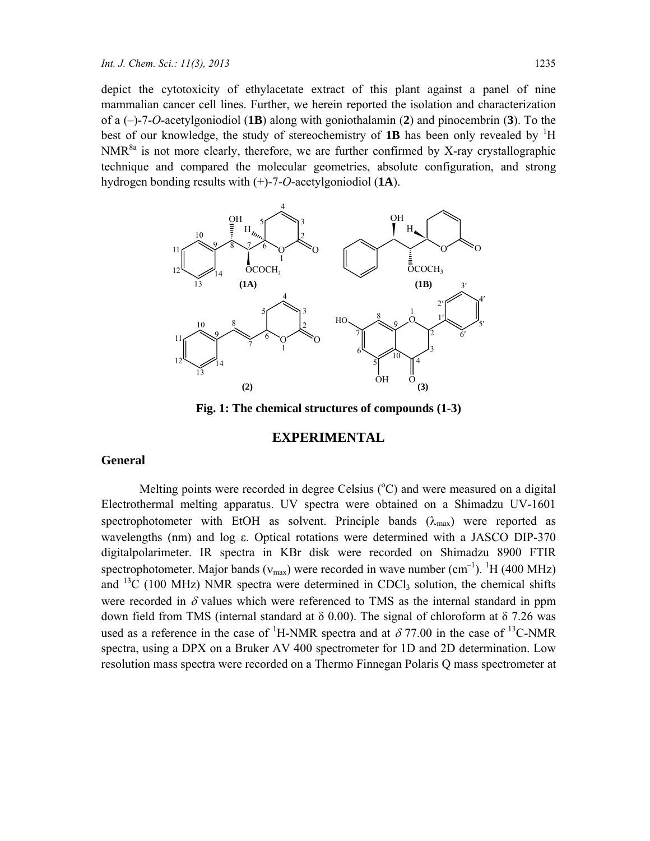depict the cytotoxicity of ethylacetate extract of this plant against a panel of nine mammalian cancer cell lines. Further, we herein reported the isolation and characterization of a (–)-7-*O*-acetylgoniodiol (**1B**) along with goniothalamin (**2**) and pinocembrin (**3**). To the best of our knowledge, the study of stereochemistry of  $1B$  has been only revealed by  ${}^{1}H$ NMR<sup>8a</sup> is not more clearly, therefore, we are further confirmed by X-ray crystallographic technique and compared the molecular geometries, absolute configuration, and strong hydrogen bonding results with (+)-7-*O*-acetylgoniodiol (**1A**).



**Fig. 1: The chemical structures of compounds (1-3)** 

# **EXPERIMENTAL**

#### **General**

Melting points were recorded in degree Celsius (°C) and were measured on a digital Electrothermal melting apparatus. UV spectra were obtained on a Shimadzu UV-1601 spectrophotometer with EtOH as solvent. Principle bands  $(\lambda_{max})$  were reported as wavelengths (nm) and log ε. Optical rotations were determined with a JASCO DIP-370 digitalpolarimeter. IR spectra in KBr disk were recorded on Shimadzu 8900 FTIR spectrophotometer. Major bands ( $v_{\text{max}}$ ) were recorded in wave number (cm<sup>-1</sup>). <sup>1</sup>H (400 MHz) and <sup>13</sup>C (100 MHz) NMR spectra were determined in CDCl<sub>3</sub> solution, the chemical shifts were recorded in  $\delta$  values which were referenced to TMS as the internal standard in ppm down field from TMS (internal standard at δ 0.00). The signal of chloroform at δ 7.26 was used as a reference in the case of <sup>1</sup>H-NMR spectra and at  $\delta$  77.00 in the case of <sup>13</sup>C-NMR spectra, using a DPX on a Bruker AV 400 spectrometer for 1D and 2D determination. Low resolution mass spectra were recorded on a Thermo Finnegan Polaris Q mass spectrometer at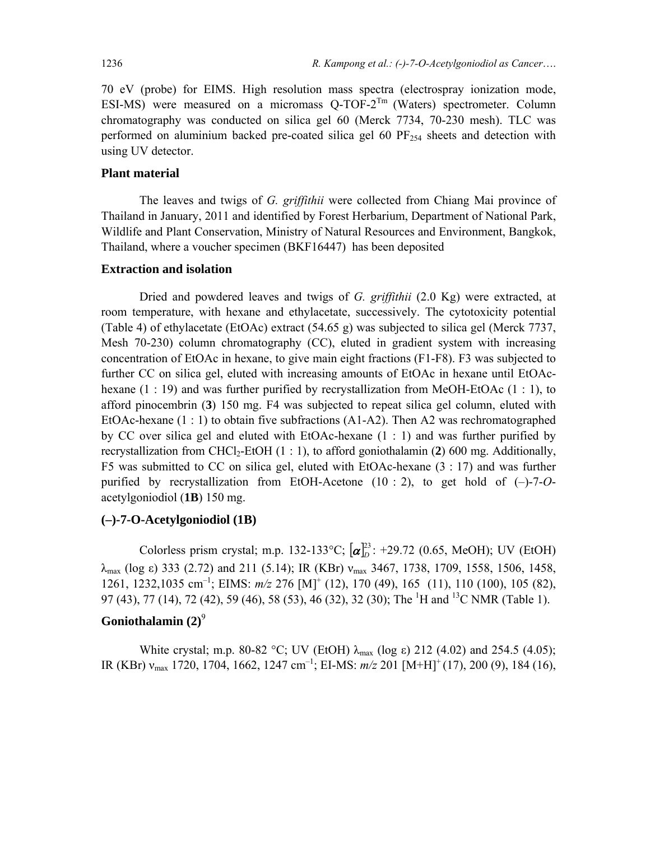70 eV (probe) for EIMS. High resolution mass spectra (electrospray ionization mode, ESI-MS) were measured on a micromass Q-TOF-2<sup>Tm</sup> (Waters) spectrometer. Column chromatography was conducted on silica gel 60 (Merck 7734, 70-230 mesh). TLC was performed on aluminium backed pre-coated silica gel 60  $PF_{254}$  sheets and detection with using UV detector.

#### **Plant material**

The leaves and twigs of *G. griffithii* were collected from Chiang Mai province of Thailand in January, 2011 and identified by Forest Herbarium, Department of National Park, Wildlife and Plant Conservation, Ministry of Natural Resources and Environment, Bangkok, Thailand, where a voucher specimen (BKF16447) has been deposited

### **Extraction and isolation**

Dried and powdered leaves and twigs of *G. griffithii* (2.0 Kg) were extracted, at room temperature, with hexane and ethylacetate, successively. The cytotoxicity potential (Table 4) of ethylacetate (EtOAc) extract (54.65 g) was subjected to silica gel (Merck 7737, Mesh 70-230) column chromatography (CC), eluted in gradient system with increasing concentration of EtOAc in hexane, to give main eight fractions (F1-F8). F3 was subjected to further CC on silica gel, eluted with increasing amounts of EtOAc in hexane until EtOAchexane  $(1:19)$  and was further purified by recrystallization from MeOH-EtOAc  $(1:1)$ , to afford pinocembrin (**3**) 150 mg. F4 was subjected to repeat silica gel column, eluted with EtOAc-hexane  $(1:1)$  to obtain five subfractions  $(A1-A2)$ . Then A2 was rechromatographed by CC over silica gel and eluted with EtOAc-hexane (1 : 1) and was further purified by recrystallization from CHCl<sub>2</sub>-EtOH (1 : 1), to afford goniothalamin (2) 600 mg. Additionally, F5 was submitted to CC on silica gel, eluted with EtOAc-hexane (3 : 17) and was further purified by recrystallization from EtOH-Acetone (10 : 2), to get hold of (–)-7-*O*acetylgoniodiol (**1B**) 150 mg.

### **(–)-7-O-Acetylgoniodiol (1B)**

Colorless prism crystal; m.p. 132-133°C;  $[\alpha]_D^{23}$ : +29.72 (0.65, MeOH); UV (EtOH)  $λ_{\text{max}}$  (log ε) 333 (2.72) and 211 (5.14); IR (KBr)  $v_{\text{max}}$  3467, 1738, 1709, 1558, 1506, 1458, 1261, 1232,1035 cm<sup>-1</sup>; EIMS:  $m/z$  276 [M]<sup>+</sup> (12), 170 (49), 165 (11), 110 (100), 105 (82), 97 (43), 77 (14), 72 (42), 59 (46), 58 (53), 46 (32), 32 (30); The <sup>1</sup>H and <sup>13</sup>C NMR (Table 1).

# Goniothalamin (2)<sup>9</sup>

White crystal; m.p. 80-82 °C; UV (EtOH)  $\lambda_{\text{max}}$  (log ε) 212 (4.02) and 254.5 (4.05); IR (KBr) νmax 1720, 1704, 1662, 1247 cm–1; EI-MS: *m/z* 201 [M+H]+ (17), 200 (9), 184 (16),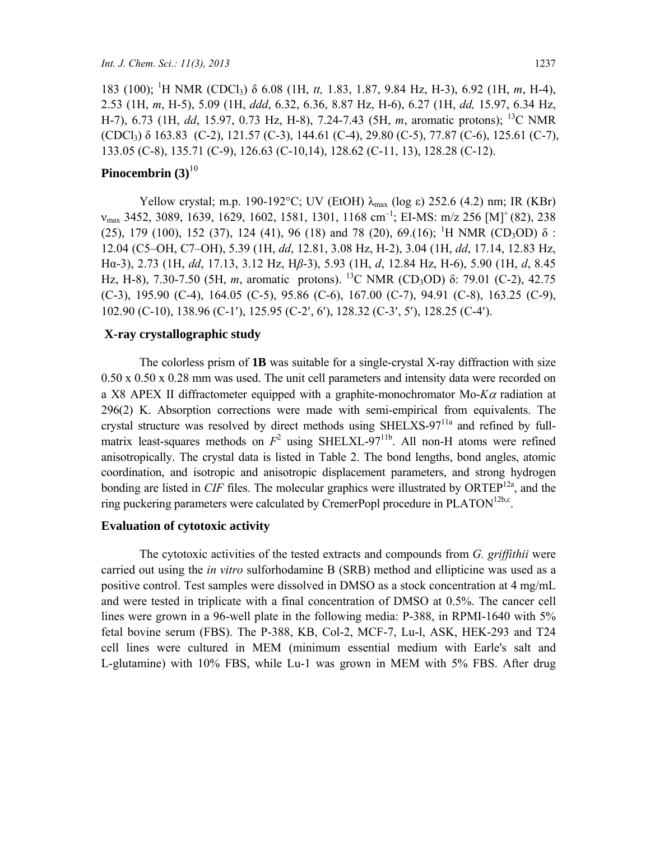183 (100); <sup>1</sup> H NMR (CDCl3) δ 6.08 (1H, *tt,* 1.83, 1.87, 9.84 Hz, H-3), 6.92 (1H, *m*, H-4), 2.53 (1H, *m*, H-5), 5.09 (1H, *ddd*, 6.32, 6.36, 8.87 Hz, H-6), 6.27 (1H, *dd,* 15.97, 6.34 Hz, H-7), 6.73 (1H, *dd*, 15.97, 0.73 Hz, H-8), 7.24-7.43 (5H, *m*, aromatic protons); 13C NMR (CDCl3) δ 163.83 (C-2), 121.57 (C-3), 144.61 (C-4), 29.80 (C-5), 77.87 (C-6), 125.61 (C-7), 133.05 (C-8), 135.71 (C-9), 126.63 (C-10,14), 128.62 (C-11, 13), 128.28 (C-12).

# Pinocembrin (3)<sup>10</sup>

Yellow crystal; m.p. 190-192°C; UV (EtOH)  $\lambda_{\text{max}}$  (log ε) 252.6 (4.2) nm; IR (KBr)  $v_{\text{max}}$  3452, 3089, 1639, 1629, 1602, 1581, 1301, 1168 cm<sup>-1</sup>; EI-MS: m/z 256 [M]<sup>+</sup> (82), 238 (25), 179 (100), 152 (37), 124 (41), 96 (18) and 78 (20), 69.(16); <sup>1</sup>H NMR (CD<sub>3</sub>OD)  $\delta$  : 12.04 (C5–OH, C7–OH), 5.39 (1H, *dd*, 12.81, 3.08 Hz, H-2), 3.04 (1H, *dd*, 17.14, 12.83 Hz, Hα-3), 2.73 (1H, *dd*, 17.13, 3.12 Hz, H*β*-3), 5.93 (1H, *d*, 12.84 Hz, H-6), 5.90 (1H, *d*, 8.45 Hz, H-8), 7.30-7.50 (5H, *m*, aromatic protons). <sup>13</sup>C NMR (CD<sub>3</sub>OD) δ: 79.01 (C-2), 42.75 (C-3), 195.90 (C-4), 164.05 (C-5), 95.86 (C-6), 167.00 (C-7), 94.91 (C-8), 163.25 (C-9), 102.90 (C-10), 138.96 (C-1′), 125.95 (C-2′, 6′), 128.32 (C-3′, 5′), 128.25 (C-4′).

### **X-ray crystallographic study**

The colorless prism of **1B** was suitable for a single-crystal X-ray diffraction with size 0.50 x 0.50 x 0.28 mm was used. The unit cell parameters and intensity data were recorded on a X8 APEX II diffractometer equipped with a graphite-monochromator Mo-*K*α radiation at 296(2) K. Absorption corrections were made with semi-empirical from equivalents. The crystal structure was resolved by direct methods using  $SHELXS-97<sup>11a</sup>$  and refined by fullmatrix least-squares methods on  $F^2$  using SHELXL-97<sup>11b</sup>. All non-H atoms were refined anisotropically. The crystal data is listed in Table 2. The bond lengths, bond angles, atomic coordination, and isotropic and anisotropic displacement parameters, and strong hydrogen bonding are listed in *CIF* files. The molecular graphics were illustrated by  $ORTEP<sup>12a</sup>$ , and the ring puckering parameters were calculated by CremerPopl procedure in  $PLATION^{12b,c}$ .

#### **Evaluation of cytotoxic activity**

The cytotoxic activities of the tested extracts and compounds from *G. griffithii* were carried out using the *in vitro* sulforhodamine B (SRB) method and ellipticine was used as a positive control. Test samples were dissolved in DMSO as a stock concentration at 4 mg/mL and were tested in triplicate with a final concentration of DMSO at 0.5%. The cancer cell lines were grown in a 96-well plate in the following media: P-388, in RPMI-1640 with 5% fetal bovine serum (FBS). The P-388, KB, Col-2, MCF-7, Lu-l, ASK, HEK-293 and T24 cell lines were cultured in MEM (minimum essential medium with Earle's salt and L-glutamine) with 10% FBS, while Lu-1 was grown in MEM with 5% FBS. After drug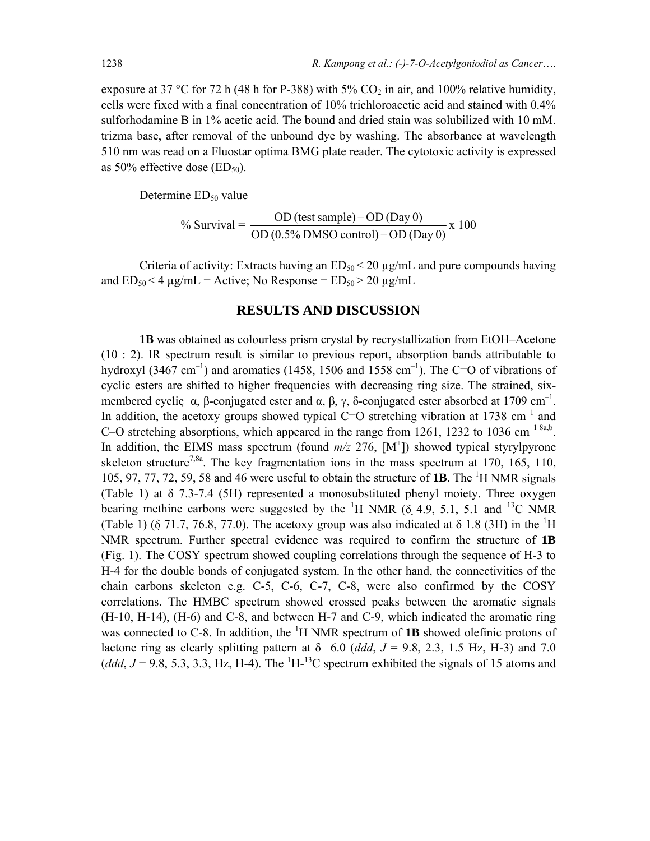exposure at 37 °C for 72 h (48 h for P-388) with 5%  $CO<sub>2</sub>$  in air, and 100% relative humidity, cells were fixed with a final concentration of 10% trichloroacetic acid and stained with 0.4% sulforhodamine B in 1% acetic acid. The bound and dried stain was solubilized with 10 mM. trizma base, after removal of the unbound dye by washing. The absorbance at wavelength 510 nm was read on a Fluostar optima BMG plate reader. The cytotoxic activity is expressed as 50% effective dose  $(ED_{50})$ .

Determine ED<sub>50</sub> value

% Survival = 
$$
\frac{OD \text{ (test sample)} - OD \text{ (Day 0)}}{OD \text{ (0.5% DMSO control)} - OD \text{ (Day 0)}} \times 100
$$

Criteria of activity: Extracts having an  $ED_{50}$  < 20  $\mu$ g/mL and pure compounds having and  $ED_{50}$  < 4  $\mu$ g/mL = Active; No Response =  $ED_{50}$  > 20  $\mu$ g/mL

# **RESULTS AND DISCUSSION**

**1B** was obtained as colourless prism crystal by recrystallization from EtOH–Acetone (10 : 2). IR spectrum result is similar to previous report, absorption bands attributable to hydroxyl (3467 cm<sup>-1</sup>) and aromatics (1458, 1506 and 1558 cm<sup>-1</sup>). The C=O of vibrations of cyclic esters are shifted to higher frequencies with decreasing ring size. The strained, sixmembered cyclic  $\alpha$ ,  $\beta$ -conjugated ester and  $\alpha$ ,  $\beta$ ,  $\gamma$ ,  $\delta$ -conjugated ester absorbed at 1709 cm<sup>-1</sup>. In addition, the acetoxy groups showed typical C=O stretching vibration at 1738 cm<sup>-1</sup> and C–O stretching absorptions, which appeared in the range from 1261, 1232 to 1036 cm<sup>-1 8a,b</sup>. In addition, the EIMS mass spectrum (found  $m/z$  276,  $[M^+]$ ) showed typical styrylpyrone skeleton structure<sup>7,8a</sup>. The key fragmentation ions in the mass spectrum at 170, 165, 110, 105, 97, 77, 72, 59, 58 and 46 were useful to obtain the structure of **1B**. The <sup>1</sup>H NMR signals (Table 1) at δ 7.3-7.4 (5H) represented a monosubstituted phenyl moiety. Three oxygen bearing methine carbons were suggested by the <sup>1</sup>H NMR ( $\delta$ , 4.9, 5.1, 5.1 and <sup>13</sup>C NMR (Table 1) ( $\delta$  71.7, 76.8, 77.0). The acetoxy group was also indicated at  $\delta$  1.8 (3H) in the <sup>1</sup>H NMR spectrum. Further spectral evidence was required to confirm the structure of **1B** (Fig. 1). The COSY spectrum showed coupling correlations through the sequence of H-3 to H-4 for the double bonds of conjugated system. In the other hand, the connectivities of the chain carbons skeleton e.g. C-5, C-6, C-7, C-8, were also confirmed by the COSY correlations. The HMBC spectrum showed crossed peaks between the aromatic signals (H-10, H-14), (H-6) and C-8, and between H-7 and C-9, which indicated the aromatic ring was connected to C-8. In addition, the  ${}^{1}H$  NMR spectrum of **1B** showed olefinic protons of lactone ring as clearly splitting pattern at  $\delta$  6.0 (*ddd*, *J* = 9.8, 2.3, 1.5 Hz, H-3) and 7.0 (ddd,  $J = 9.8$ , 5.3, 3.3, Hz, H-4). The <sup>1</sup>H-<sup>13</sup>C spectrum exhibited the signals of 15 atoms and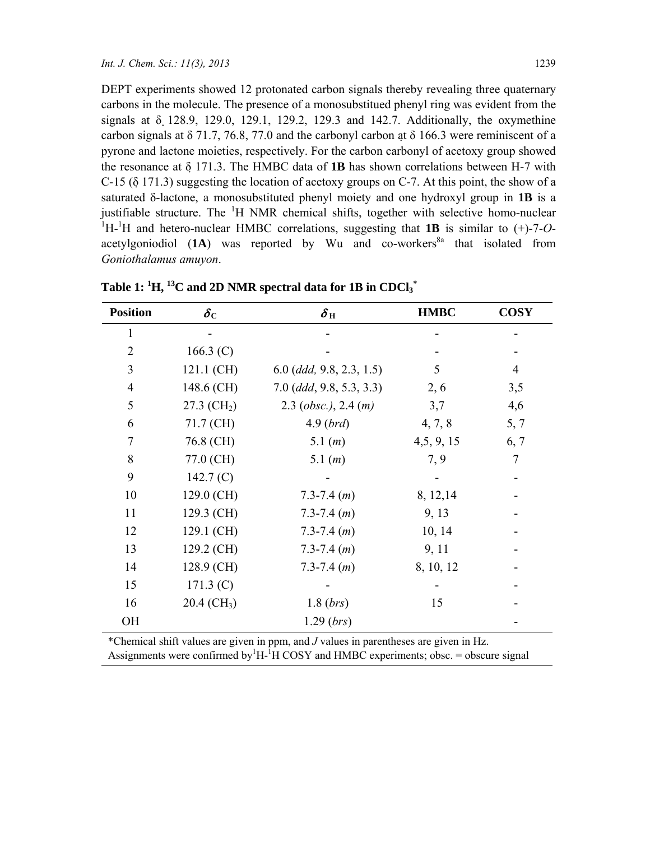DEPT experiments showed 12 protonated carbon signals thereby revealing three quaternary carbons in the molecule. The presence of a monosubstitued phenyl ring was evident from the signals at δ 128.9, 129.0, 129.1, 129.2, 129.3 and 142.7. Additionally, the oxymethine carbon signals at  $\delta$  71.7, 76.8, 77.0 and the carbonyl carbon at  $\delta$  166.3 were reminiscent of a pyrone and lactone moieties, respectively. For the carbon carbonyl of acetoxy group showed the resonance at δ 171.3. The HMBC data of **1B** has shown correlations between H-7 with C-15 (δ 171.3) suggesting the location of acetoxy groups on C-7. At this point, the show of a saturated δ-lactone, a monosubstituted phenyl moiety and one hydroxyl group in **1B** is a justifiable structure. The  ${}^{1}H$  NMR chemical shifts, together with selective homo-nuclear <sup>1</sup>H-<sup>1</sup>H and hetero-nuclear HMBC correlations, suggesting that **1B** is similar to (+)-7-*O*acetylgoniodiol  $(1A)$  was reported by Wu and co-workers<sup>8a</sup> that isolated from *Goniothalamus amuyon*.

| <b>Position</b> | $\delta_{\rm C}$          | $\delta_{\,\rm H}$         | <b>HMBC</b> | <b>COSY</b> |
|-----------------|---------------------------|----------------------------|-------------|-------------|
| 1               |                           |                            |             |             |
| $\overline{2}$  | 166.3 $(C)$               |                            |             |             |
| 3               | 121.1 (CH)                | $6.0$ (ddd, 9.8, 2.3, 1.5) | 5           | 4           |
| $\overline{4}$  | 148.6 (CH)                | $7.0$ (ddd, 9.8, 5.3, 3.3) | 2, 6        | 3,5         |
| 5               | $27.3$ (CH <sub>2</sub> ) | $2.3$ (obsc.), $2.4$ (m)   | 3,7         | 4,6         |
| 6               | 71.7 (CH)                 | $4.9$ ( <i>brd</i> )       | 4, 7, 8     | 5, 7        |
| $\overline{7}$  | 76.8 (CH)                 | 5.1 $(m)$                  | 4, 5, 9, 15 | 6, 7        |
| 8               | 77.0 (CH)                 | 5.1 $(m)$                  | 7, 9        | 7           |
| 9               | 142.7 $(C)$               |                            |             |             |
| 10              | 129.0 (CH)                | $7.3 - 7.4$ $(m)$          | 8, 12, 14   |             |
| 11              | 129.3 (CH)                | $7.3 - 7.4$ $(m)$          | 9, 13       |             |
| 12              | 129.1 (CH)                | $7.3 - 7.4$ $(m)$          | 10, 14      |             |
| 13              | 129.2 (CH)                | $7.3 - 7.4$ $(m)$          | 9, 11       |             |
| 14              | 128.9 (CH)                | $7.3 - 7.4$ $(m)$          | 8, 10, 12   |             |
| 15              | 171.3 (C)                 |                            |             |             |
| 16              | $20.4$ (CH <sub>3</sub> ) | 1.8(brs)                   | 15          |             |
| OН              |                           | 1.29 (brs)                 |             |             |

Table 1:  ${}^{1}\text{H}, {}^{13}\text{C}$  and 2D NMR spectral data for 1B in CDCl3 ${}^{*}$ 

\*Chemical shift values are given in ppm, and *J* values in parentheses are given in Hz. Assignments were confirmed by  ${}^{1}H$ - ${}^{1}H$  COSY and HMBC experiments; obsc. = obscure signal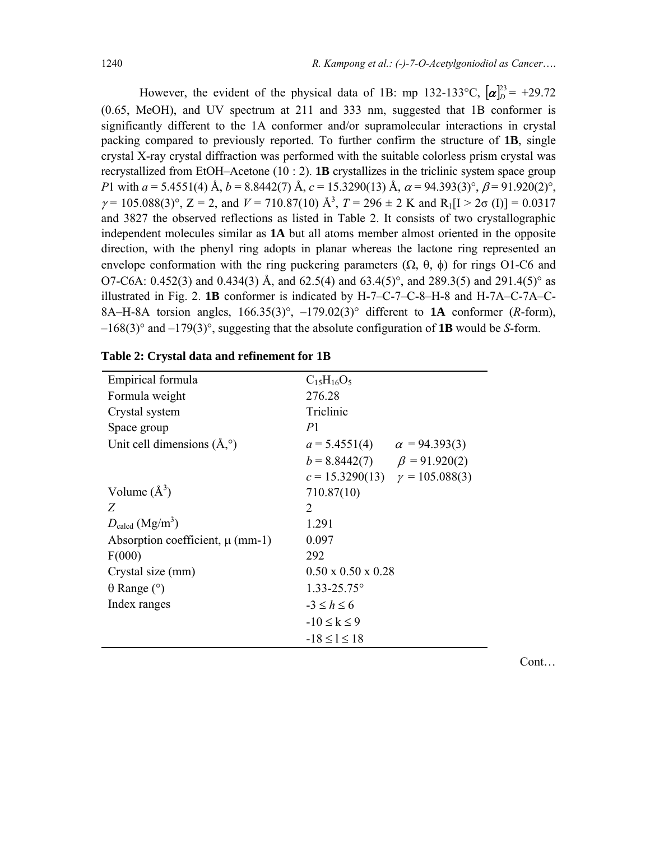However, the evident of the physical data of 1B: mp 132-133°C,  $[\alpha]_D^{23} = +29.72$ (0.65, MeOH), and UV spectrum at 211 and 333 nm, suggested that 1B conformer is significantly different to the 1A conformer and/or supramolecular interactions in crystal packing compared to previously reported. To further confirm the structure of **1B**, single crystal X-ray crystal diffraction was performed with the suitable colorless prism crystal was recrystallized from EtOH–Acetone (10 : 2). **1B** crystallizes in the triclinic system space group *P*1 with  $a = 5.4551(4)$  Å,  $b = 8.8442(7)$  Å,  $c = 15.3290(13)$  Å,  $\alpha = 94.393(3)^\circ$ ,  $\beta = 91.920(2)^\circ$ ,  $\gamma = 105.088(3)$ °, Z = 2, and V = 710.87(10) Å<sup>3</sup>, T = 296  $\pm$  2 K and R<sub>1</sub>[I > 2 $\sigma$  (I)] = 0.0317 and 3827 the observed reflections as listed in Table 2. It consists of two crystallographic independent molecules similar as **1A** but all atoms member almost oriented in the opposite direction, with the phenyl ring adopts in planar whereas the lactone ring represented an envelope conformation with the ring puckering parameters  $(\Omega, \theta, \phi)$  for rings O1-C6 and O7-C6A: 0.452(3) and 0.434(3) Å, and 62.5(4) and 63.4(5)°, and 289.3(5) and 291.4(5)° as illustrated in Fig. 2. **1B** conformer is indicated by H-7–C-7–C-8–H-8 and H-7A–C-7A–C-8A–H-8A torsion angles, 166.35(3)°, –179.02(3)° different to **1A** conformer (*R*-form), –168(3)° and –179(3)°, suggesting that the absolute configuration of **1B** would be *S*-form.

| Empirical formula                     | $C_{15}H_{16}O_5$                       |
|---------------------------------------|-----------------------------------------|
| Formula weight                        | 276.28                                  |
| Crystal system                        | Triclinic                               |
| Space group                           | P <sub>1</sub>                          |
| Unit cell dimensions $(A, \circ)$     | $a = 5.4551(4)$<br>$\alpha = 94.393(3)$ |
|                                       | $b = 8.8442(7)$ $\beta = 91.920(2)$     |
|                                       | $c = 15.3290(13)$ $\gamma = 105.088(3)$ |
| Volume $(\AA^3)$                      | 710.87(10)                              |
| Z                                     | 2                                       |
| $D_{\rm{calcd}}$ (Mg/m <sup>3</sup> ) | 1.291                                   |
| Absorption coefficient, $\mu$ (mm-1)  | 0.097                                   |
| F(000)                                | 292                                     |
| Crystal size (mm)                     | $0.50 \times 0.50 \times 0.28$          |
| $\theta$ Range ( $\degree$ )          | $1.33 - 25.75^{\circ}$                  |
| Index ranges                          | $-3 \leq h \leq 6$                      |
|                                       | $-10 \le k \le 9$                       |
|                                       | $-18 \leq l \leq 18$                    |
|                                       |                                         |

### **Table 2: Crystal data and refinement for 1B**

Cont…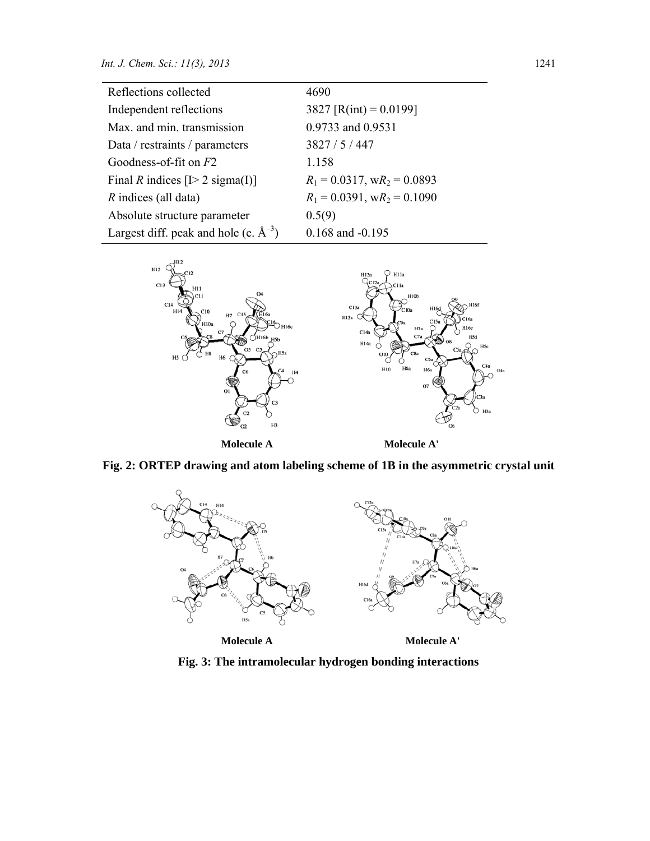| Reflections collected                      | 4690                              |
|--------------------------------------------|-----------------------------------|
| Independent reflections                    | 3827 [R(int) = $0.0199$ ]         |
| Max. and min. transmission                 | 0.9733 and 0.9531                 |
| Data / restraints / parameters             | 3827/5/447                        |
| Goodness-of-fit on $F2$                    | 1.158                             |
| Final R indices $[I>2$ sigma(I)]           | $R_1 = 0.0317$ , $wR_2 = 0.0893$  |
| $R$ indices (all data)                     | $R_1 = 0.0391$ , w $R_2 = 0.1090$ |
| Absolute structure parameter               | 0.5(9)                            |
| Largest diff. peak and hole (e. $A^{-3}$ ) | $0.168$ and $-0.195$              |



**Fig. 2: ORTEP drawing and atom labeling scheme of 1B in the asymmetric crystal unit** 



**Fig. 3: The intramolecular hydrogen bonding interactions**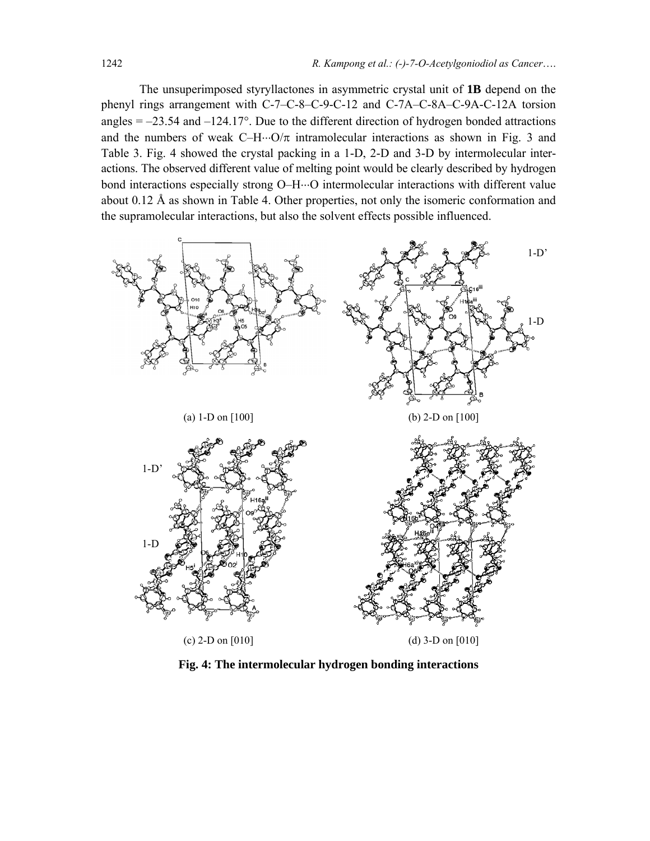The unsuperimposed styryllactones in asymmetric crystal unit of **1B** depend on the phenyl rings arrangement with C-7–C-8–C-9-C-12 and C-7A–C-8A–C-9A-C-12A torsion angles  $= -23.54$  and  $-124.17^{\circ}$ . Due to the different direction of hydrogen bonded attractions and the numbers of weak  $C-H\cdots O/\pi$  intramolecular interactions as shown in Fig. 3 and Table 3. Fig. 4 showed the crystal packing in a 1-D, 2-D and 3-D by intermolecular interactions. The observed different value of melting point would be clearly described by hydrogen bond interactions especially strong O–H⋅⋅⋅O intermolecular interactions with different value about 0.12 Å as shown in Table 4. Other properties, not only the isomeric conformation and the supramolecular interactions, but also the solvent effects possible influenced.



**Fig. 4: The intermolecular hydrogen bonding interactions**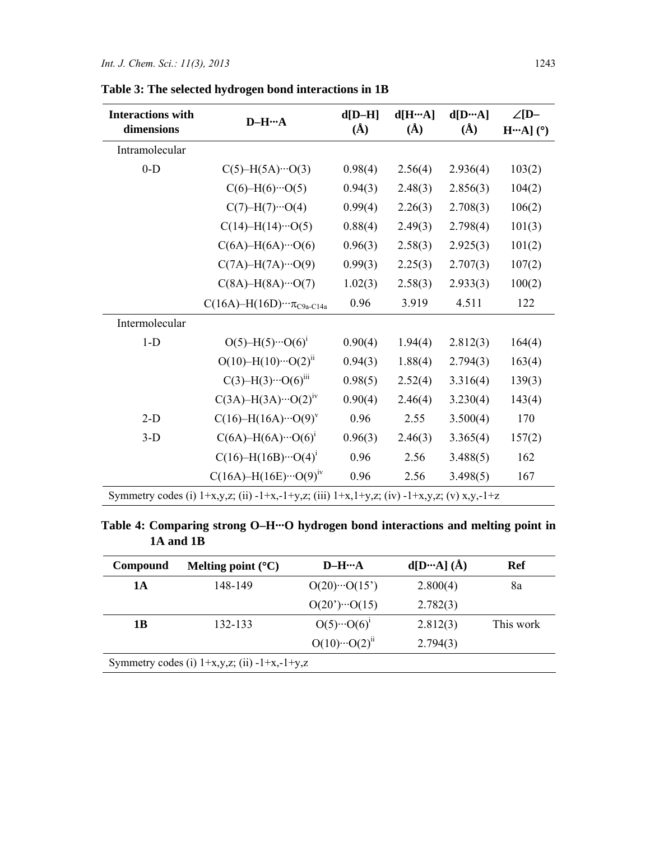| <b>Interactions with</b><br>dimensions | $D-H\cdots A$                                                                                            | $d[D-H]$<br>$\rm(\AA)$ | d[HA]<br>$\rm(\AA)$ | d[DA]<br>$\rm(\AA)$ | $\angle$ [D-<br>$HA]$ (°) |
|----------------------------------------|----------------------------------------------------------------------------------------------------------|------------------------|---------------------|---------------------|---------------------------|
| Intramolecular                         |                                                                                                          |                        |                     |                     |                           |
| $0-D$                                  | $C(5)$ -H(5A)…O(3)                                                                                       | 0.98(4)                | 2.56(4)             | 2.936(4)            | 103(2)                    |
|                                        | $C(6)$ -H(6)…O(5)                                                                                        | 0.94(3)                | 2.48(3)             | 2.856(3)            | 104(2)                    |
|                                        | $C(7)-H(7)\cdots O(4)$                                                                                   | 0.99(4)                | 2.26(3)             | 2.708(3)            | 106(2)                    |
|                                        | $C(14)$ -H $(14)$ ···O(5)                                                                                | 0.88(4)                | 2.49(3)             | 2.798(4)            | 101(3)                    |
|                                        | $C(6A)$ -H $(6A)$ ···O $(6)$                                                                             | 0.96(3)                | 2.58(3)             | 2.925(3)            | 101(2)                    |
|                                        | $C(7A) - H(7A) \cdots O(9)$                                                                              | 0.99(3)                | 2.25(3)             | 2.707(3)            | 107(2)                    |
|                                        | $C(8A)$ -H $(8A)$ ···O(7)                                                                                | 1.02(3)                | 2.58(3)             | 2.933(3)            | 100(2)                    |
|                                        | $C(16A) - H(16D) \cdots \pi_{C9a-C14a}$                                                                  | 0.96                   | 3.919               | 4.511               | 122                       |
| Intermolecular                         |                                                                                                          |                        |                     |                     |                           |
| $1-D$                                  | $O(5)$ -H $(5)$ ··· $O(6)$ <sup>1</sup>                                                                  | 0.90(4)                | 1.94(4)             | 2.812(3)            | 164(4)                    |
|                                        | $O(10) - H(10) \cdots O(2)^{ii}$                                                                         | 0.94(3)                | 1.88(4)             | 2.794(3)            | 163(4)                    |
|                                        | $C(3)$ -H(3)…O(6) <sup>iii</sup>                                                                         | 0.98(5)                | 2.52(4)             | 3.316(4)            | 139(3)                    |
|                                        | $C(3A) - H(3A) \cdots O(2)^{iv}$                                                                         | 0.90(4)                | 2.46(4)             | 3.230(4)            | 143(4)                    |
| $2-D$                                  | $C(16)$ -H(16A)… $O(9)^v$                                                                                | 0.96                   | 2.55                | 3.500(4)            | 170                       |
| $3-D$                                  | $C(6A) - H(6A) \cdots O(6)^{1}$                                                                          | 0.96(3)                | 2.46(3)             | 3.365(4)            | 157(2)                    |
|                                        | $C(16)$ -H(16B)… $O(4)^{1}$                                                                              | 0.96                   | 2.56                | 3.488(5)            | 162                       |
|                                        | $C(16A) - H(16E) \cdots O(9)^{iv}$                                                                       | 0.96                   | 2.56                | 3.498(5)            | 167                       |
|                                        | Symmetry codes (i) $1+x,y,z$ ; (ii) $-1+x,-1+y,z$ ; (iii) $1+x,1+y,z$ ; (iv) $-1+x,y,z$ ; (v) $x,y,-1+z$ |                        |                     |                     |                           |

**Table 3: The selected hydrogen bond interactions in 1B** 

**Table 4: Comparing strong O–H···O hydrogen bond interactions and melting point in 1A and 1B** 

| Compound | Melting point $(^{\circ}C)$                       | $D-H\cdots A$               | $d[D \cdots A] (\AA)$ | Ref       |
|----------|---------------------------------------------------|-----------------------------|-----------------------|-----------|
| 1A       | 148-149                                           | $O(20)\cdots O(15)$         | 2.800(4)              | 8a        |
|          |                                                   | $O(20^{\circ}) \cdot O(15)$ | 2.782(3)              |           |
| 1B       | 132-133                                           | $O(5) \cdot O(6)^1$         | 2.812(3)              | This work |
|          |                                                   | $O(10)\cdots O(2)^{ii}$     | 2.794(3)              |           |
|          | Symmetry codes (i) $1+x,y,z$ ; (ii) $-1+x,-1+y,z$ |                             |                       |           |
|          |                                                   |                             |                       |           |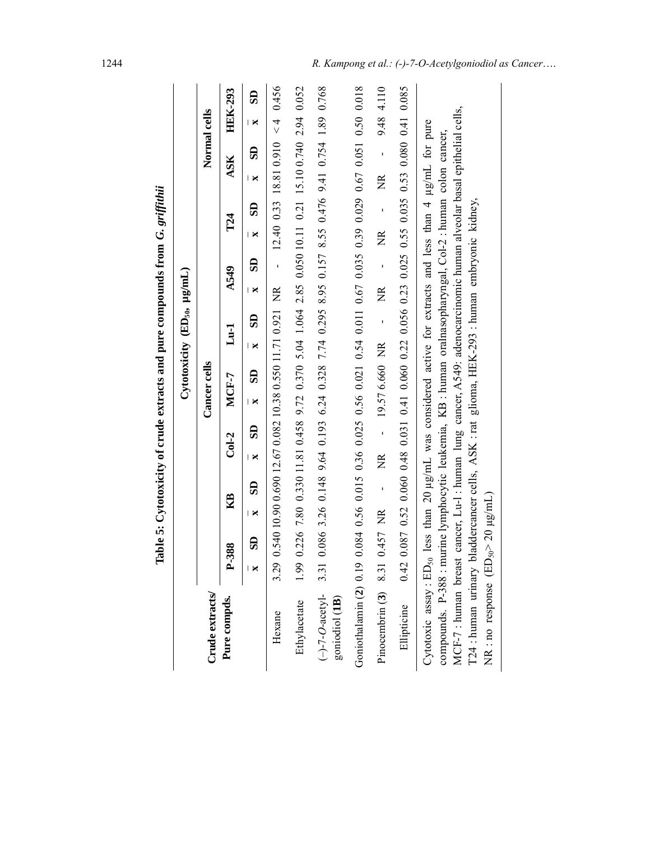|                                                                                                                                                                                                                                                                                                                                                                                                                                                                                                                           |       |              |     |    |                   |                                                   |                  |                     |    |                                              |                   |                |                   | Table 5: Cytotoxicity of crude extracts and pure compounds from G. griffithii                                                                                                                                                |                   |                |              |                         |
|---------------------------------------------------------------------------------------------------------------------------------------------------------------------------------------------------------------------------------------------------------------------------------------------------------------------------------------------------------------------------------------------------------------------------------------------------------------------------------------------------------------------------|-------|--------------|-----|----|-------------------|---------------------------------------------------|------------------|---------------------|----|----------------------------------------------|-------------------|----------------|-------------------|------------------------------------------------------------------------------------------------------------------------------------------------------------------------------------------------------------------------------|-------------------|----------------|--------------|-------------------------|
|                                                                                                                                                                                                                                                                                                                                                                                                                                                                                                                           |       |              |     |    |                   |                                                   |                  |                     |    | Cytotoxicity (ED <sub>50</sub> , $\mu$ g/mL) |                   |                |                   |                                                                                                                                                                                                                              |                   |                |              |                         |
| Crude extracts                                                                                                                                                                                                                                                                                                                                                                                                                                                                                                            |       |              |     |    |                   |                                                   |                  | <b>Cancer</b> cells |    |                                              |                   |                |                   |                                                                                                                                                                                                                              |                   |                | Normal cells |                         |
| Pure compds.                                                                                                                                                                                                                                                                                                                                                                                                                                                                                                              | P-388 |              | 囶   |    |                   | $Col-2$                                           |                  | $MCH-7$             |    | $L_{u-1}$                                    |                   | <b>A549</b>    |                   | T24                                                                                                                                                                                                                          |                   | ASK            |              | <b>HEK-293</b>          |
|                                                                                                                                                                                                                                                                                                                                                                                                                                                                                                                           | ×     | $\mathbf{5}$ | l × | SD | l ×               | SD                                                | I X              | SD                  | Ι× | SD                                           | l ×               | $\mathbf{5}$   | Ι×                | සි                                                                                                                                                                                                                           | I X               | SD             | l ×          | $\overline{\mathbf{s}}$ |
| Hexane                                                                                                                                                                                                                                                                                                                                                                                                                                                                                                                    | 3.29  |              |     |    |                   | $0.54010.90169012.670.08210.380.55011.710.921$ NR |                  |                     |    |                                              |                   | $\frac{1}{1}$  |                   | $12.40$ 0.33 18.81 0.910 <4                                                                                                                                                                                                  |                   |                |              | 0.456                   |
| Ethylacetate                                                                                                                                                                                                                                                                                                                                                                                                                                                                                                              | 1.99  |              |     |    |                   |                                                   |                  |                     |    |                                              |                   |                |                   | 0.226 7.80 0.330 11.81 0.458 9.72 0.370 5.04 1.054 2.85 0.050 10.11 0.21 15.10 0.740 2.94                                                                                                                                    |                   |                |              | 0.052                   |
| $(-)$ -7-O-acetyl-<br>goniodiol (1B)                                                                                                                                                                                                                                                                                                                                                                                                                                                                                      | 3.31  |              |     |    |                   |                                                   |                  |                     |    |                                              |                   |                |                   | 0.086 3.26 0.148 9.64 0.193 6.24 0.328 7.74 0.295 8.95 8.55 0.476 9.41 0.754 1.89 0.768 9.000                                                                                                                                |                   |                |              |                         |
| Goniothalamin (2) 0.19                                                                                                                                                                                                                                                                                                                                                                                                                                                                                                    |       |              |     |    |                   |                                                   |                  |                     |    |                                              |                   |                |                   | $0.084$ 0.56 0.15 0.36 0.36 0.56 0.54 0.51 0.67 0.10.035 0.39 0.035 0.50 0.50 0.50 0.038 0.035 0.035 0.035 0.035 0.035 0.035 0.035 0.035 0.035 0.035 0.035 0.035 0.035 0.035 0.035 0.035 0.035 0.035 0.035 0.035 0.035 0.035 |                   |                |              |                         |
| Pinocembrin $(3)$ 8.31                                                                                                                                                                                                                                                                                                                                                                                                                                                                                                    |       | 0.457 NR     |     | J. | $\widetilde{\Xi}$ |                                                   | $-19.576.660$ NR |                     |    | $\mathbf{I}$                                 | $\widetilde{\Xi}$ | $\overline{1}$ | $\widetilde{\Xi}$ | J.                                                                                                                                                                                                                           | $\widetilde{\Xi}$ | $\overline{1}$ |              | 9.48 4.110              |
| Ellipticine                                                                                                                                                                                                                                                                                                                                                                                                                                                                                                               | 0.42  |              |     |    |                   |                                                   |                  |                     |    |                                              |                   |                |                   | $0.087$ $0.52$ $0.060$ $0.48$ $0.031$ $0.100$ $0.056$ $0.22$ $0.025$ $0.235$ $0.55$ $0.035$ $0.53$ $0.035$ $0.035$ $0.035$ $0.035$ $0.035$ $0.035$ $0.035$                                                                   |                   |                |              |                         |
| MCF-7: human breast cancer, Lu-1: human lung cancer, A549: adenocarcinomic human alveolar basal epithelial cells,<br>Cytotoxic assay : ED <sub>50</sub> less than 20 $\mu$ g/mL was considered active for extracts and less than 4 $\mu$ g/mL for pure<br>compounds. P-388 : murine lymphocytic leukemia, KB : human oralnasopharyngal, Col-2 : human colon cancer,<br>124 : human urinary bladdercancer cells, ASK : rat glioma, HEK-293 : human embryonic kidney,<br>NR : no response (ED <sub>50</sub> >20 $\mu$ g/mL) |       |              |     |    |                   |                                                   |                  |                     |    |                                              |                   |                |                   |                                                                                                                                                                                                                              |                   |                |              |                         |

Table 5: Cytotoxicity of crude extracts and pure compounds from G. griffithii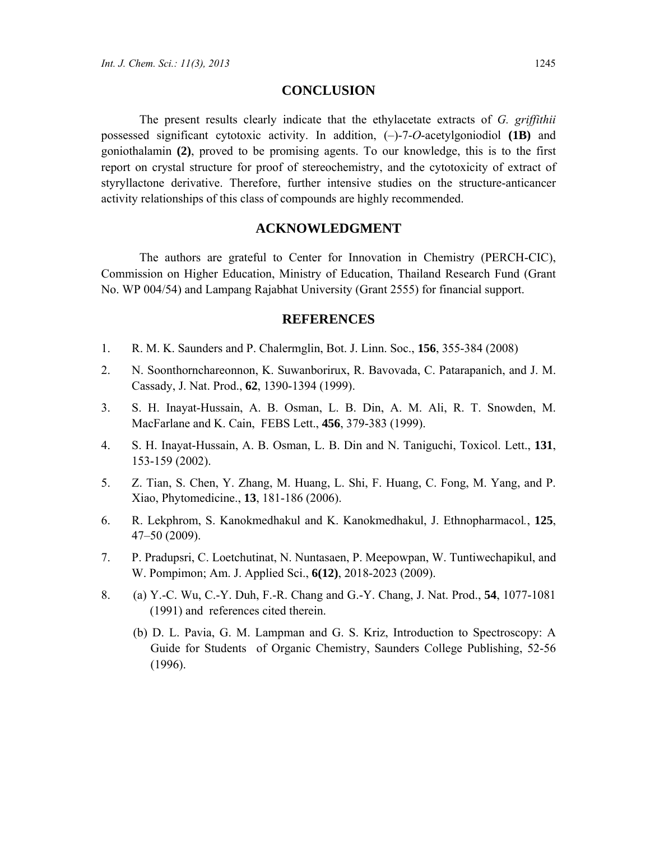### **CONCLUSION**

The present results clearly indicate that the ethylacetate extracts of *G. griffithii* possessed significant cytotoxic activity. In addition, (–)-7-*O*-acetylgoniodiol **(1B)** and goniothalamin **(2)**, proved to be promising agents. To our knowledge, this is to the first report on crystal structure for proof of stereochemistry, and the cytotoxicity of extract of styryllactone derivative. Therefore, further intensive studies on the structure-anticancer activity relationships of this class of compounds are highly recommended.

### **ACKNOWLEDGMENT**

The authors are grateful to Center for Innovation in Chemistry (PERCH-CIC), Commission on Higher Education, Ministry of Education, Thailand Research Fund (Grant No. WP 004/54) and Lampang Rajabhat University (Grant 2555) for financial support.

#### **REFERENCES**

- 1. R. M. K. Saunders and P. Chalermglin, Bot. J. Linn. Soc., **156**, 355-384 (2008)
- 2. N. Soonthornchareonnon, K. Suwanborirux, R. Bavovada, C. Patarapanich, and J. M. Cassady, J. Nat. Prod., **62**, 1390-1394 (1999).
- 3. S. H. Inayat-Hussain, A. B. Osman, L. B. Din, A. M. Ali, R. T. Snowden, M. MacFarlane and K. Cain, FEBS Lett., 456, 379-383 (1999).
- 4. S. H. Inayat-Hussain, A. B. Osman, L. B. Din and N. Taniguchi, Toxicol. Lett., **131**, 153-159 (2002).
- 5. Z. Tian, S. Chen, Y. Zhang, M. Huang, L. Shi, F. Huang, C. Fong, M. Yang, and P. Xiao, Phytomedicine., **13**, 181-186 (2006).
- 6. R. Lekphrom, S. Kanokmedhakul and K. Kanokmedhakul, J. Ethnopharmacol*.*, **125**, 47–50 (2009).
- 7. P. Pradupsri, C. Loetchutinat, N. Nuntasaen, P. Meepowpan, W. Tuntiwechapikul, and W. Pompimon; Am. J. Applied Sci., **6(12)**, 2018-2023 (2009).
- 8. (a) Y.-C. Wu, C.-Y. Duh, F.-R. Chang and G.-Y. Chang, J. Nat. Prod., **54**, 1077-1081 (1991) and references cited therein.
	- (b) D. L. Pavia, G. M. Lampman and G. S. Kriz, Introduction to Spectroscopy: A Guide for Students of Organic Chemistry, Saunders College Publishing, 52-56 (1996).